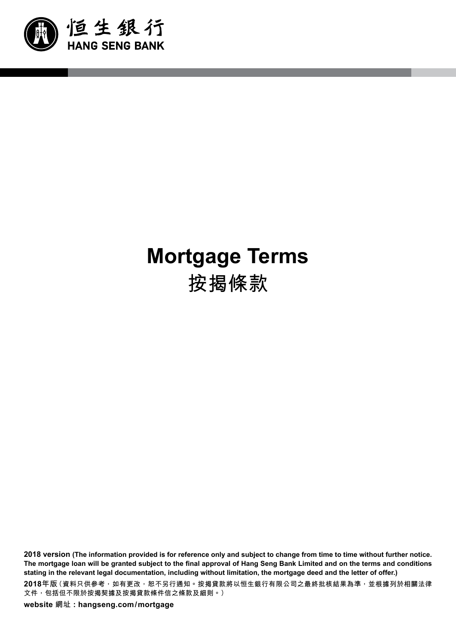

# **Mortgage Terms 按揭條款**

**2018 version (The information provided is for reference only and subject to change from time to time without further notice. The mortgage loan will be granted subject to the final approval of Hang Seng Bank Limited and on the terms and conditions stating in the relevant legal documentation, including without limitation, the mortgage deed and the letter of offer.)**

**2018年版(資料只供參考,如有更改,恕不另行通知。按揭貸款將以恒生銀行有限公司之最終批核結果為準,並根據列於相關法律 文件,包括但不限於按揭契據及按揭貸款條件信之條款及細則。)**

**website 網址 : hangseng.com/mortgage**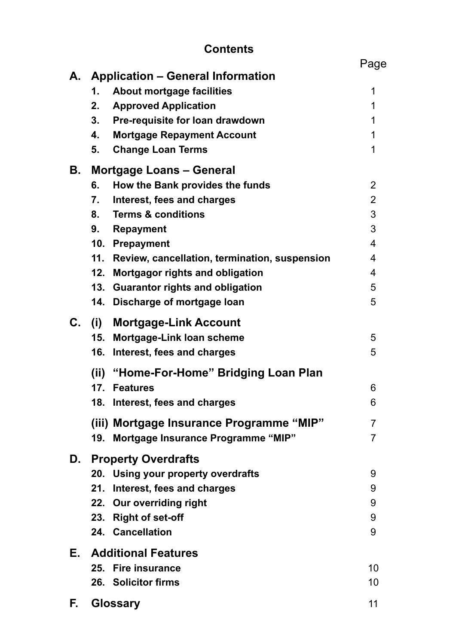# **Contents**

|    |                                                      | Page           |
|----|------------------------------------------------------|----------------|
| А. | <b>Application – General Information</b>             |                |
|    | About mortgage facilities<br>1.                      | 1              |
|    | 2.<br><b>Approved Application</b>                    | 1              |
|    | 3.<br>Pre-requisite for loan drawdown                | 1              |
|    | <b>Mortgage Repayment Account</b><br>4.              | 1              |
|    | 5.<br><b>Change Loan Terms</b>                       | 1              |
| В. | <b>Mortgage Loans - General</b>                      |                |
|    | How the Bank provides the funds<br>6.                | 2              |
|    | 7.<br>Interest, fees and charges                     | $\overline{2}$ |
|    | <b>Terms &amp; conditions</b><br>8.                  | 3              |
|    | <b>Repayment</b><br>9.                               | 3              |
|    | 10. Prepayment                                       | $\overline{4}$ |
|    | 11.<br>Review, cancellation, termination, suspension | 4              |
|    | 12.<br><b>Mortgagor rights and obligation</b>        | 4              |
|    | 13.<br><b>Guarantor rights and obligation</b>        | 5              |
|    | Discharge of mortgage loan<br>14.                    | 5              |
| С. | (i)<br><b>Mortgage-Link Account</b>                  |                |
|    | Mortgage-Link loan scheme<br>15.                     | 5              |
|    | 16.<br>Interest, fees and charges                    | 5              |
|    | (ii) "Home-For-Home" Bridging Loan Plan              |                |
|    | 17. Features                                         | 6              |
|    | 18. Interest, fees and charges                       | 6              |
|    | (iii) Mortgage Insurance Programme "MIP"             | $\overline{7}$ |
|    | <b>Mortgage Insurance Programme "MIP"</b><br>19.     | 7              |
| D. | <b>Property Overdrafts</b>                           |                |
|    | 20. Using your property overdrafts                   | 9              |
|    | Interest, fees and charges<br>21.                    | 9              |
|    | 22. Our overriding right                             | 9              |
|    | 23. Right of set-off                                 | 9              |
|    | 24. Cancellation                                     | 9              |
| Е. | <b>Additional Features</b>                           |                |
|    | 25. Fire insurance                                   | 10             |
|    | 26. Solicitor firms                                  | 10             |
| F. | <b>Glossary</b>                                      | 11             |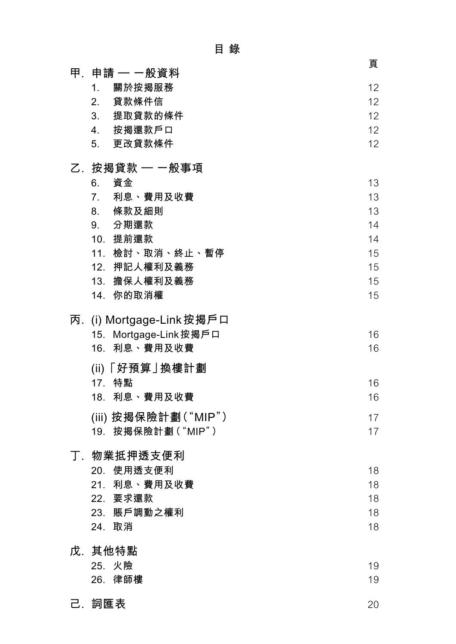|                                             | 頁        |
|---------------------------------------------|----------|
| 甲.申請 — 一般資料<br>1 <sub>1</sub>               | 12       |
| 關於按揭服務<br>2. 貸款條件信                          | 12       |
| 3. 提取貸款的條件                                  | 12       |
| 4. 按揭還款戶口                                   | 12       |
| 5. 更改貸款條件                                   | 12       |
|                                             |          |
| 乙. 按揭貸款 — 一般事項                              |          |
| 資金<br>6.                                    | 13       |
| 7 <sub>1</sub><br>利息、費用及收費                  | 13       |
| 8. 條款及細則<br>9. 分期還款                         | 13<br>14 |
| 10. 提前還款                                    | 14       |
| 11. 檢討、取消、終止、暫停                             | 15       |
| 12. 押記人權利及義務                                | 15       |
| 13. 擔保人權利及義務                                | 15       |
| 14. 你的取消權                                   | 15       |
| 丙. (i) Mortgage-Link 按揭戶口                   |          |
| 15. Mortgage-Link按揭戶口                       | 16       |
| 16. 利息、費用及收費                                | 16       |
| (ii)「好預算」換樓計劃                               |          |
| 17. 特點                                      | 16       |
| 18. 利息、費用及收費                                | 16       |
|                                             |          |
| (iii) 按揭保險計劃("MIP")<br>按揭保險計劃("MIP")<br>19. | 17<br>17 |
|                                             |          |
| 丁.物業抵押透支便利                                  |          |
| 20. 使用透支便利                                  | 18       |
| 21. 利息、費用及收費                                | 18       |
| 22. 要求還款                                    | 18       |
| 23. 賬戶調動之權利                                 | 18       |
| 24. 取消                                      | 18       |
| 戊 其他特點                                      |          |
| 25. 火險                                      | 19       |
| 26. 律師樓                                     | 19       |
| 己.詞匯表                                       | 20       |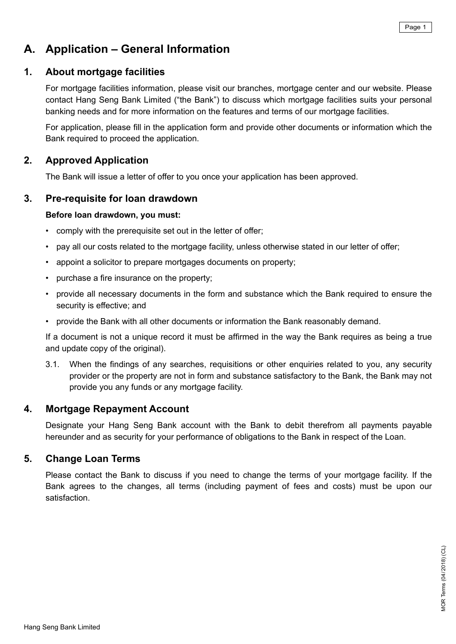# **A. Application – General Information**

# **1. About mortgage facilities**

For mortgage facilities information, please visit our branches, mortgage center and our website. Please contact Hang Seng Bank Limited ("the Bank") to discuss which mortgage facilities suits your personal banking needs and for more information on the features and terms of our mortgage facilities.

 For application, please fill in the application form and provide other documents or information which the Bank required to proceed the application.

# **2. Approved Application**

The Bank will issue a letter of offer to you once your application has been approved.

# **3. Pre-requisite for loan drawdown**

### **Before loan drawdown, you must:**

- comply with the prerequisite set out in the letter of offer;
- pay all our costs related to the mortgage facility, unless otherwise stated in our letter of offer;
- appoint a solicitor to prepare mortgages documents on property;
- • purchase a fire insurance on the property;
- provide all necessary documents in the form and substance which the Bank required to ensure the security is effective; and
- provide the Bank with all other documents or information the Bank reasonably demand.

 If a document is not a unique record it must be affirmed in the way the Bank requires as being a true and update copy of the original).

3.1. When the findings of any searches, requisitions or other enquiries related to you, any security provider or the property are not in form and substance satisfactory to the Bank, the Bank may not provide you any funds or any mortgage facility.

# **4. Mortgage Repayment Account**

Designate your Hang Seng Bank account with the Bank to debit therefrom all payments payable hereunder and as security for your performance of obligations to the Bank in respect of the Loan.

# **5. Change Loan Terms**

Please contact the Bank to discuss if you need to change the terms of your mortgage facility. If the Bank agrees to the changes, all terms (including payment of fees and costs) must be upon our satisfaction.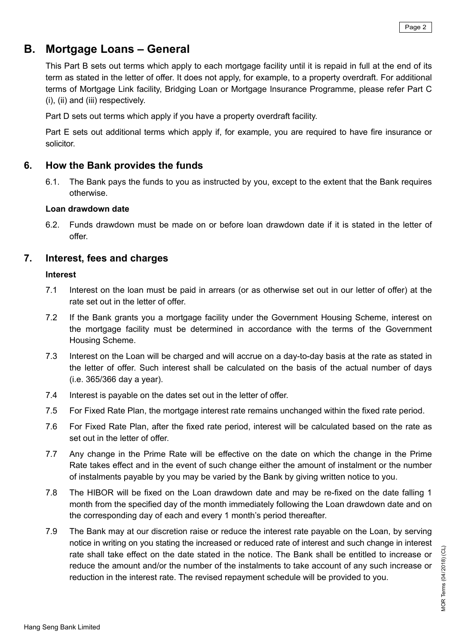# **B. Mortgage Loans – General**

This Part B sets out terms which apply to each mortgage facility until it is repaid in full at the end of its term as stated in the letter of offer. It does not apply, for example, to a property overdraft. For additional terms of Mortgage Link facility, Bridging Loan or Mortgage Insurance Programme, please refer Part C (i), (ii) and (iii) respectively.

Part D sets out terms which apply if you have a property overdraft facility.

 Part E sets out additional terms which apply if, for example, you are required to have fire insurance or solicitor.

# **6. How the Bank provides the funds**

6.1. The Bank pays the funds to you as instructed by you, except to the extent that the Bank requires otherwise.

#### **Loan drawdown date**

6.2. Funds drawdown must be made on or before loan drawdown date if it is stated in the letter of offer.

# **7. Interest, fees and charges**

#### **Interest**

- 7.1 Interest on the loan must be paid in arrears (or as otherwise set out in our letter of offer) at the rate set out in the letter of offer.
- 7.2 If the Bank grants you a mortgage facility under the Government Housing Scheme, interest on the mortgage facility must be determined in accordance with the terms of the Government Housing Scheme.
- 7.3 Interest on the Loan will be charged and will accrue on a day-to-day basis at the rate as stated in the letter of offer. Such interest shall be calculated on the basis of the actual number of days (i.e. 365/366 day a year).
- 7.4 Interest is payable on the dates set out in the letter of offer.
- 7.5 For Fixed Rate Plan, the mortgage interest rate remains unchanged within the fixed rate period.
- 7.6 For Fixed Rate Plan, after the fixed rate period, interest will be calculated based on the rate as set out in the letter of offer.
- 7.7 Any change in the Prime Rate will be effective on the date on which the change in the Prime Rate takes effect and in the event of such change either the amount of instalment or the number of instalments payable by you may be varied by the Bank by giving written notice to you.
- 7.8 The HIBOR will be fixed on the Loan drawdown date and may be re-fixed on the date falling 1 month from the specified day of the month immediately following the Loan drawdown date and on the corresponding day of each and every 1 month's period thereafter.
- 7.9 The Bank may at our discretion raise or reduce the interest rate payable on the Loan, by serving notice in writing on you stating the increased or reduced rate of interest and such change in interest rate shall take effect on the date stated in the notice. The Bank shall be entitled to increase or reduce the amount and/or the number of the instalments to take account of any such increase or reduction in the interest rate. The revised repayment schedule will be provided to you.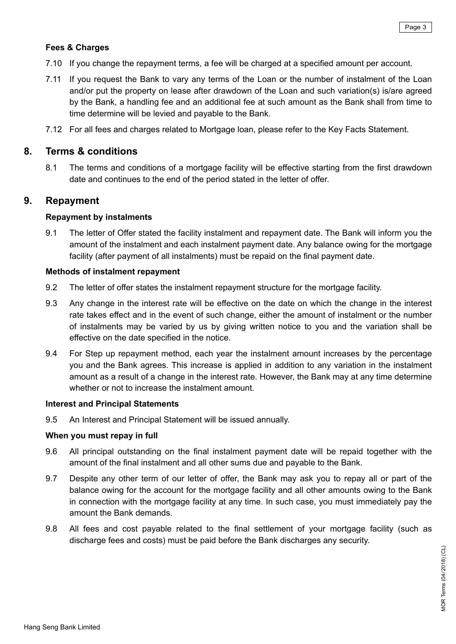### **Fees & Charges**

- 7.10 If you change the repayment terms, a fee will be charged at a specified amount per account.
- 7.11 If you request the Bank to vary any terms of the Loan or the number of instalment of the Loan and/or put the property on lease after drawdown of the Loan and such variation(s) is/are agreed by the Bank, a handling fee and an additional fee at such amount as the Bank shall from time to time determine will be levied and payable to the Bank.
- 7.12 For all fees and charges related to Mortgage loan, please refer to the Key Facts Statement.

# **8. Terms & conditions**

8.1 The terms and conditions of a mortgage facility will be effective starting from the first drawdown date and continues to the end of the period stated in the letter of offer.

# **9. Repayment**

#### **Repayment by instalments**

9.1 The letter of Offer stated the facility instalment and repayment date. The Bank will inform you the amount of the instalment and each instalment payment date. Any balance owing for the mortgage facility (after payment of all instalments) must be repaid on the final payment date.

#### **Methods of instalment repayment**

- 9.2 The letter of offer states the instalment repayment structure for the mortgage facility.
- 9.3 Any change in the interest rate will be effective on the date on which the change in the interest rate takes effect and in the event of such change, either the amount of instalment or the number of instalments may be varied by us by giving written notice to you and the variation shall be effective on the date specified in the notice.
- 9.4 For Step up repayment method, each year the instalment amount increases by the percentage you and the Bank agrees. This increase is applied in addition to any variation in the instalment amount as a result of a change in the interest rate. However, the Bank may at any time determine whether or not to increase the instalment amount.

#### **Interest and Principal Statements**

9.5 An Interest and Principal Statement will be issued annually.

#### **When you must repay in full**

- 9.6 All principal outstanding on the final instalment payment date will be repaid together with the amount of the final instalment and all other sums due and payable to the Bank.
- 9.7 Despite any other term of our letter of offer, the Bank may ask you to repay all or part of the balance owing for the account for the mortgage facility and all other amounts owing to the Bank in connection with the mortgage facility at any time. In such case, you must immediately pay the amount the Bank demands.
- 9.8 All fees and cost payable related to the final settlement of your mortgage facility (such as discharge fees and costs) must be paid before the Bank discharges any security.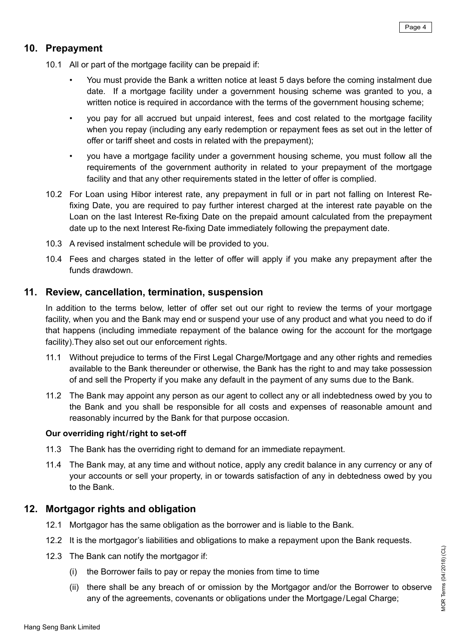# **10. Prepayment**

- 10.1 All or part of the mortgage facility can be prepaid if:
	- You must provide the Bank a written notice at least 5 days before the coming instalment due date. If a mortgage facility under a government housing scheme was granted to you, a written notice is required in accordance with the terms of the government housing scheme;
	- you pay for all accrued but unpaid interest, fees and cost related to the mortgage facility when you repay (including any early redemption or repayment fees as set out in the letter of offer or tariff sheet and costs in related with the prepayment);
	- you have a mortgage facility under a government housing scheme, you must follow all the requirements of the government authority in related to your prepayment of the mortgage facility and that any other requirements stated in the letter of offer is complied.
- 10.2 For Loan using Hibor interest rate, any prepayment in full or in part not falling on Interest Refixing Date, you are required to pay further interest charged at the interest rate payable on the Loan on the last Interest Re-fixing Date on the prepaid amount calculated from the prepayment date up to the next Interest Re-fixing Date immediately following the prepayment date.
- 10.3 A revised instalment schedule will be provided to you.
- 10.4 Fees and charges stated in the letter of offer will apply if you make any prepayment after the funds drawdown.

# **11. Review, cancellation, termination, suspension**

In addition to the terms below, letter of offer set out our right to review the terms of your mortgage facility, when you and the Bank may end or suspend your use of any product and what you need to do if that happens (including immediate repayment of the balance owing for the account for the mortgage facility).They also set out our enforcement rights.

- 11.1 Without prejudice to terms of the First Legal Charge/Mortgage and any other rights and remedies available to the Bank thereunder or otherwise, the Bank has the right to and may take possession of and sell the Property if you make any default in the payment of any sums due to the Bank.
- 11.2 The Bank may appoint any person as our agent to collect any or all indebtedness owed by you to the Bank and you shall be responsible for all costs and expenses of reasonable amount and reasonably incurred by the Bank for that purpose occasion.

#### **Our overriding right/right to set-off**

- 11.3 The Bank has the overriding right to demand for an immediate repayment.
- 11.4 The Bank may, at any time and without notice, apply any credit balance in any currency or any of your accounts or sell your property, in or towards satisfaction of any in debtedness owed by you to the Bank.

# **12. Mortgagor rights and obligation**

- 12.1 Mortgagor has the same obligation as the borrower and is liable to the Bank.
- 12.2 It is the mortgagor's liabilities and obligations to make a repayment upon the Bank requests.
- 12.3 The Bank can notify the mortgagor if:
	- (i) the Borrower fails to pay or repay the monies from time to time
	- (ii) there shall be any breach of or omission by the Mortgagor and/or the Borrower to observe any of the agreements, covenants or obligations under the Mortgage/Legal Charge;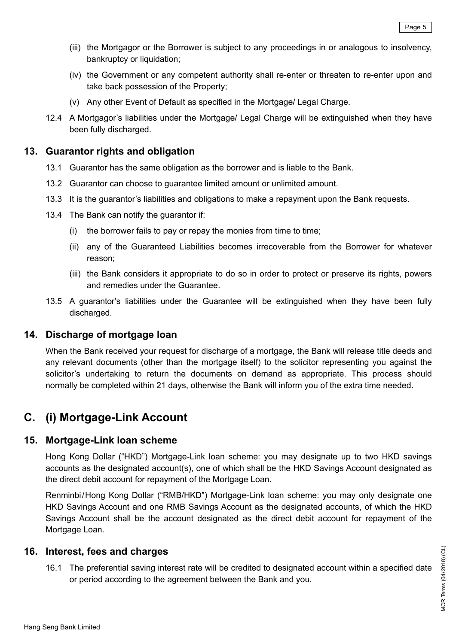- (iii) the Mortgagor or the Borrower is subject to any proceedings in or analogous to insolvency, bankruptcy or liquidation;
- (iv) the Government or any competent authority shall re-enter or threaten to re-enter upon and take back possession of the Property;
- (v) Any other Event of Default as specified in the Mortgage/ Legal Charge.
- 12.4 A Mortgagor's liabilities under the Mortgage/ Legal Charge will be extinguished when they have been fully discharged.

# **13. Guarantor rights and obligation**

- 13.1 Guarantor has the same obligation as the borrower and is liable to the Bank.
- 13.2 Guarantor can choose to guarantee limited amount or unlimited amount.
- 13.3 It is the guarantor's liabilities and obligations to make a repayment upon the Bank requests.
- 13.4 The Bank can notify the guarantor if:
	- (i) the borrower fails to pay or repay the monies from time to time;
	- (ii) any of the Guaranteed Liabilities becomes irrecoverable from the Borrower for whatever reason;
	- (iii) the Bank considers it appropriate to do so in order to protect or preserve its rights, powers and remedies under the Guarantee.
- 13.5 A guarantor's liabilities under the Guarantee will be extinguished when they have been fully discharged.

# **14. Discharge of mortgage loan**

When the Bank received your request for discharge of a mortgage, the Bank will release title deeds and any relevant documents (other than the mortgage itself) to the solicitor representing you against the solicitor's undertaking to return the documents on demand as appropriate. This process should normally be completed within 21 days, otherwise the Bank will inform you of the extra time needed.

# **C. (i) Mortgage-Link Account**

# **15. Mortgage-Link loan scheme**

Hong Kong Dollar ("HKD") Mortgage-Link loan scheme: you may designate up to two HKD savings accounts as the designated account(s), one of which shall be the HKD Savings Account designated as the direct debit account for repayment of the Mortgage Loan.

Renminbi/Hong Kong Dollar ("RMB/HKD") Mortgage-Link loan scheme: you may only designate one HKD Savings Account and one RMB Savings Account as the designated accounts, of which the HKD Savings Account shall be the account designated as the direct debit account for repayment of the Mortgage Loan.

# **16. Interest, fees and charges**

16.1 The preferential saving interest rate will be credited to designated account within a specified date or period according to the agreement between the Bank and you.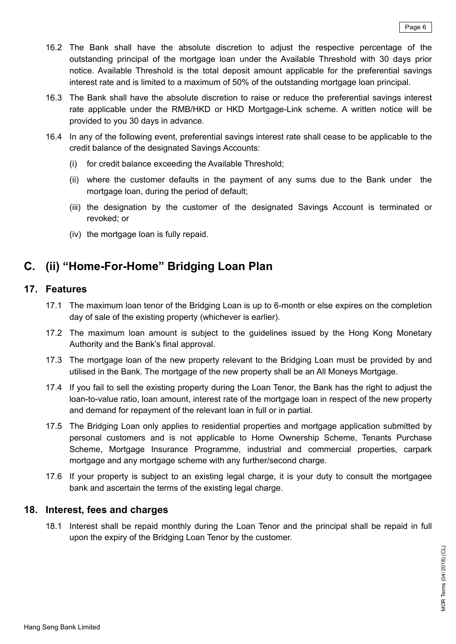- 16.2 The Bank shall have the absolute discretion to adjust the respective percentage of the outstanding principal of the mortgage loan under the Available Threshold with 30 days prior notice. Available Threshold is the total deposit amount applicable for the preferential savings interest rate and is limited to a maximum of 50% of the outstanding mortgage loan principal.
- 16.3 The Bank shall have the absolute discretion to raise or reduce the preferential savings interest rate applicable under the RMB/HKD or HKD Mortgage-Link scheme. A written notice will be provided to you 30 days in advance.
- 16.4 In any of the following event, preferential savings interest rate shall cease to be applicable to the credit balance of the designated Savings Accounts:
	- (i) for credit balance exceeding the Available Threshold;
	- (ii) where the customer defaults in the payment of any sums due to the Bank under the mortgage loan, during the period of default;
	- (iii) the designation by the customer of the designated Savings Account is terminated or revoked; or
	- (iv) the mortgage loan is fully repaid.

# **C. (ii) "Home-For-Home" Bridging Loan Plan**

# **17. Features**

- 17.1 The maximum loan tenor of the Bridging Loan is up to 6-month or else expires on the completion day of sale of the existing property (whichever is earlier).
- 17.2 The maximum loan amount is subject to the guidelines issued by the Hong Kong Monetary Authority and the Bank's final approval.
- 17.3 The mortgage loan of the new property relevant to the Bridging Loan must be provided by and utilised in the Bank. The mortgage of the new property shall be an All Moneys Mortgage.
- 17.4 If you fail to sell the existing property during the Loan Tenor, the Bank has the right to adjust the loan-to-value ratio, loan amount, interest rate of the mortgage loan in respect of the new property and demand for repayment of the relevant loan in full or in partial.
- 17.5 The Bridging Loan only applies to residential properties and mortgage application submitted by personal customers and is not applicable to Home Ownership Scheme, Tenants Purchase Scheme, Mortgage Insurance Programme, industrial and commercial properties, carpark mortgage and any mortgage scheme with any further/second charge.
- 17.6 If your property is subject to an existing legal charge, it is your duty to consult the mortgagee bank and ascertain the terms of the existing legal charge.

# **18. Interest, fees and charges**

18.1 Interest shall be repaid monthly during the Loan Tenor and the principal shall be repaid in full upon the expiry of the Bridging Loan Tenor by the customer.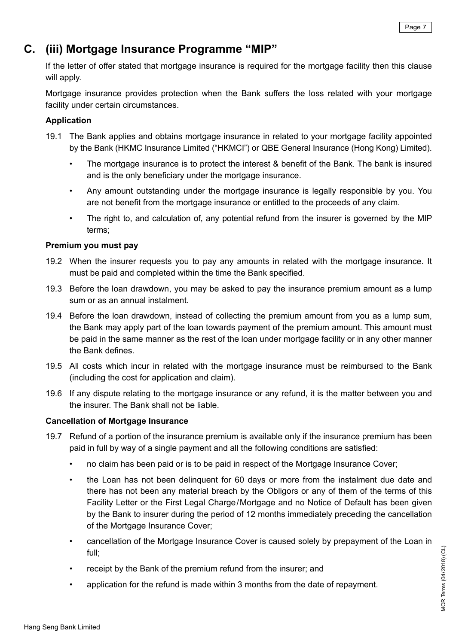# **C. (iii) Mortgage Insurance Programme "MIP"**

If the letter of offer stated that mortgage insurance is required for the mortgage facility then this clause will apply.

Mortgage insurance provides protection when the Bank suffers the loss related with your mortgage facility under certain circumstances.

### **Application**

- 19.1 The Bank applies and obtains mortgage insurance in related to your mortgage facility appointed by the Bank (HKMC Insurance Limited ("HKMCI") or QBE General Insurance (Hong Kong) Limited).
	- The mortgage insurance is to protect the interest & benefit of the Bank. The bank is insured and is the only beneficiary under the mortgage insurance.
	- Any amount outstanding under the mortgage insurance is legally responsible by you. You are not benefit from the mortgage insurance or entitled to the proceeds of any claim.
	- The right to, and calculation of, any potential refund from the insurer is governed by the MIP terms;

### **Premium you must pay**

- 19.2 When the insurer requests you to pay any amounts in related with the mortgage insurance. It must be paid and completed within the time the Bank specified.
- 19.3 Before the loan drawdown, you may be asked to pay the insurance premium amount as a lump sum or as an annual instalment.
- 19.4 Before the loan drawdown, instead of collecting the premium amount from you as a lump sum, the Bank may apply part of the loan towards payment of the premium amount. This amount must be paid in the same manner as the rest of the loan under mortgage facility or in any other manner the Bank defines.
- 19.5 All costs which incur in related with the mortgage insurance must be reimbursed to the Bank (including the cost for application and claim).
- 19.6 If any dispute relating to the mortgage insurance or any refund, it is the matter between you and the insurer. The Bank shall not be liable.

# **Cancellation of Mortgage Insurance**

- 19.7 Refund of a portion of the insurance premium is available only if the insurance premium has been paid in full by way of a single payment and all the following conditions are satisfied:
	- no claim has been paid or is to be paid in respect of the Mortgage Insurance Cover;
	- the Loan has not been delinquent for 60 days or more from the instalment due date and there has not been any material breach by the Obligors or any of them of the terms of this Facility Letter or the First Legal Charge/Mortgage and no Notice of Default has been given by the Bank to insurer during the period of 12 months immediately preceding the cancellation of the Mortgage Insurance Cover;
	- cancellation of the Mortgage Insurance Cover is caused solely by prepayment of the Loan in full;
	- receipt by the Bank of the premium refund from the insurer; and
	- application for the refund is made within 3 months from the date of repayment.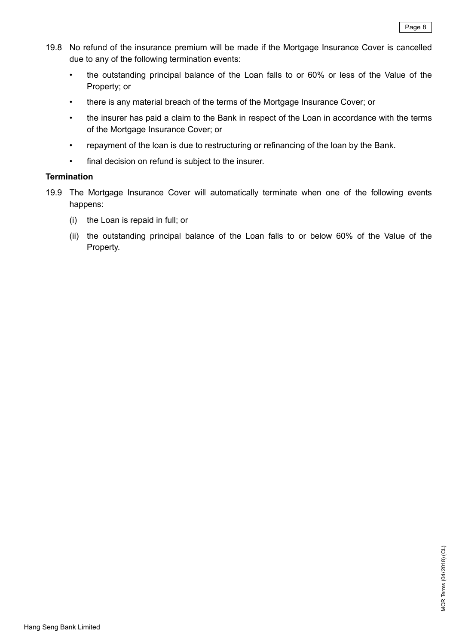- 19.8 No refund of the insurance premium will be made if the Mortgage Insurance Cover is cancelled due to any of the following termination events:
	- the outstanding principal balance of the Loan falls to or 60% or less of the Value of the Property; or
	- there is any material breach of the terms of the Mortgage Insurance Cover; or
	- the insurer has paid a claim to the Bank in respect of the Loan in accordance with the terms of the Mortgage Insurance Cover; or
	- repayment of the loan is due to restructuring or refinancing of the loan by the Bank.
	- • final decision on refund is subject to the insurer.

### **Termination**

- 19.9 The Mortgage Insurance Cover will automatically terminate when one of the following events happens:
	- (i) the Loan is repaid in full; or
	- (ii) the outstanding principal balance of the Loan falls to or below 60% of the Value of the Property.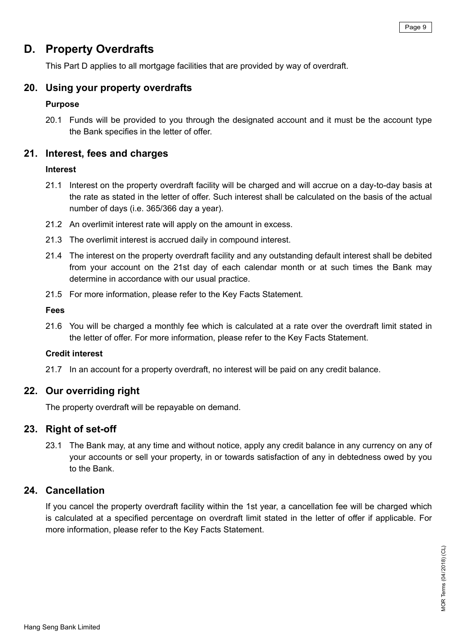# **D. Property Overdrafts**

This Part D applies to all mortgage facilities that are provided by way of overdraft.

# **20. Using your property overdrafts**

# **Purpose**

20.1 Funds will be provided to you through the designated account and it must be the account type the Bank specifies in the letter of offer.

# **21. Interest, fees and charges**

# **Interest**

- 21.1 Interest on the property overdraft facility will be charged and will accrue on a day-to-day basis at the rate as stated in the letter of offer. Such interest shall be calculated on the basis of the actual number of days (i.e. 365/366 day a year).
- 21.2 An overlimit interest rate will apply on the amount in excess.
- 21.3 The overlimit interest is accrued daily in compound interest.
- 21.4 The interest on the property overdraft facility and any outstanding default interest shall be debited from your account on the 21st day of each calendar month or at such times the Bank may determine in accordance with our usual practice.
- 21.5 For more information, please refer to the Key Facts Statement.

#### **Fees**

21.6 You will be charged a monthly fee which is calculated at a rate over the overdraft limit stated in the letter of offer. For more information, please refer to the Key Facts Statement.

# **Credit interest**

21.7 In an account for a property overdraft, no interest will be paid on any credit balance.

# **22. Our overriding right**

The property overdraft will be repayable on demand.

# **23. Right of set-off**

23.1 The Bank may, at any time and without notice, apply any credit balance in any currency on any of your accounts or sell your property, in or towards satisfaction of any in debtedness owed by you to the Bank.

# **24. Cancellation**

If you cancel the property overdraft facility within the 1st year, a cancellation fee will be charged which is calculated at a specified percentage on overdraft limit stated in the letter of offer if applicable. For more information, please refer to the Key Facts Statement.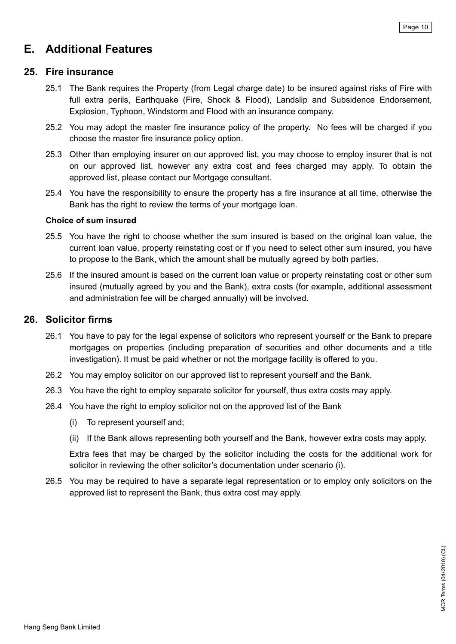# **E. Additional Features**

# **25. Fire insurance**

- 25.1 The Bank requires the Property (from Legal charge date) to be insured against risks of Fire with full extra perils, Earthquake (Fire, Shock & Flood), Landslip and Subsidence Endorsement, Explosion, Typhoon, Windstorm and Flood with an insurance company.
- 25.2 You may adopt the master fire insurance policy of the property. No fees will be charged if you choose the master fire insurance policy option.
- 25.3 Other than employing insurer on our approved list, you may choose to employ insurer that is not on our approved list, however any extra cost and fees charged may apply. To obtain the approved list, please contact our Mortgage consultant.
- 25.4 You have the responsibility to ensure the property has a fire insurance at all time, otherwise the Bank has the right to review the terms of your mortgage loan.

#### **Choice of sum insured**

- 25.5 You have the right to choose whether the sum insured is based on the original loan value, the current loan value, property reinstating cost or if you need to select other sum insured, you have to propose to the Bank, which the amount shall be mutually agreed by both parties.
- 25.6 If the insured amount is based on the current loan value or property reinstating cost or other sum insured (mutually agreed by you and the Bank), extra costs (for example, additional assessment and administration fee will be charged annually) will be involved.

# **26. Solicitor firms**

- 26.1 You have to pay for the legal expense of solicitors who represent yourself or the Bank to prepare mortgages on properties (including preparation of securities and other documents and a title investigation). It must be paid whether or not the mortgage facility is offered to you.
- 26.2 You may employ solicitor on our approved list to represent yourself and the Bank.
- 26.3 You have the right to employ separate solicitor for yourself, thus extra costs may apply.
- 26.4 You have the right to employ solicitor not on the approved list of the Bank
	- (i) To represent yourself and;
	- (ii) If the Bank allows representing both yourself and the Bank, however extra costs may apply.

 Extra fees that may be charged by the solicitor including the costs for the additional work for solicitor in reviewing the other solicitor's documentation under scenario (i).

26.5 You may be required to have a separate legal representation or to employ only solicitors on the approved list to represent the Bank, thus extra cost may apply.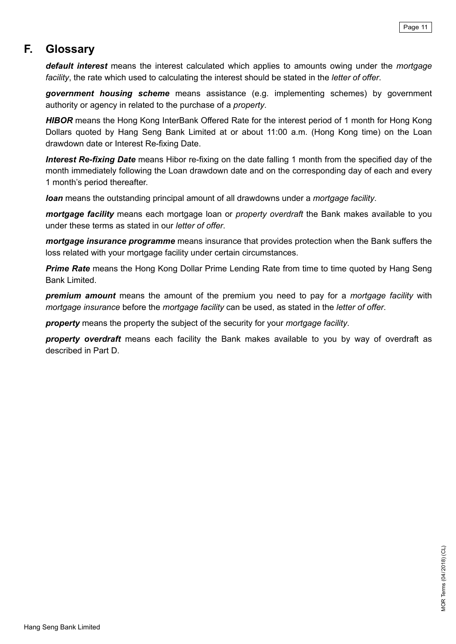# **F. Glossary**

*default interest* means the interest calculated which applies to amounts owing under the *mortgage facility*, the rate which used to calculating the interest should be stated in the *letter of offer*.

*government housing scheme* means assistance (e.g. implementing schemes) by government authority or agency in related to the purchase of a *property*.

*HIBOR* means the Hong Kong InterBank Offered Rate for the interest period of 1 month for Hong Kong Dollars quoted by Hang Seng Bank Limited at or about 11:00 a.m. (Hong Kong time) on the Loan drawdown date or Interest Re-fixing Date.

*Interest Re-fixing Date* means Hibor re-fixing on the date falling 1 month from the specified day of the month immediately following the Loan drawdown date and on the corresponding day of each and every 1 month's period thereafter.

*loan* means the outstanding principal amount of all drawdowns under a *mortgage facility*.

*mortgage facility* means each mortgage loan or *property overdraft* the Bank makes available to you under these terms as stated in our *letter of offer*.

*mortgage insurance programme* means insurance that provides protection when the Bank suffers the loss related with your mortgage facility under certain circumstances.

**Prime Rate** means the Hong Kong Dollar Prime Lending Rate from time to time quoted by Hang Seng Bank Limited.

*premium amount* means the amount of the premium you need to pay for a *mortgage facility* with *mortgage insurance* before the *mortgage facility* can be used, as stated in the *letter of offer*.

*property* means the property the subject of the security for your *mortgage facility*.

*property overdraft* means each facility the Bank makes available to you by way of overdraft as described in Part D.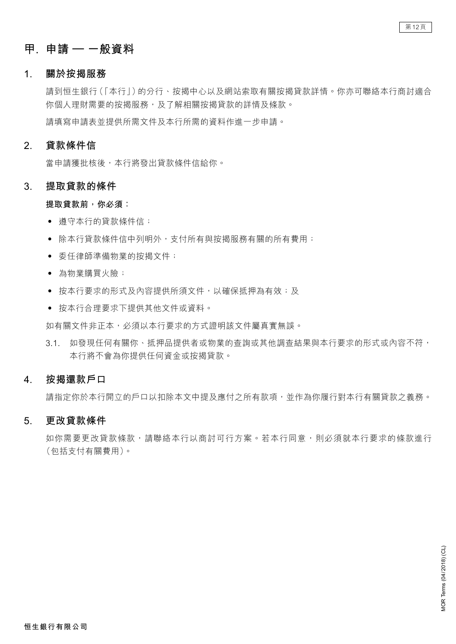# **甲. 申請 – 一般資料**

#### **1. 關於按揭服務**

 請到恒生銀行(「本行」)的分行、按揭中心以及網站索取有關按揭貸款詳情。你亦可聯絡本行商討適合 你個人理財需要的按揭服務,及了解相關按揭貸款的詳情及條款。 請填寫申請表並提供所需文件及本行所需的資料作進一步申請。

# **2. 貸款條件信**

 當申請獲批核後,本行將發出貸款條件信給你。

# **3. 提取貸款的條件**

#### **提取貸款前,你必須:**

- • 遵守本行的貸款條件信;
- 除本行管款條件信中列明外,支付所有與按揭服務有關的所有費用;
- • 委任律師準備物業的按揭文件;
- • 為物業購買火險;
- 按本行要求的形式及內容提供所須文件,以確保抵押為有效;及
- • 按本行合理要求下提供其他文件或資料。

如有關文件非正本,必須以本行要求的方式證明該文件屬真實無誤。

3.1. 如發現任何有關你、抵押品提供者或物業的查詢或其他調查結果與本行要求的形式或內容不符, 本行將不會為你提供任何資金或按揭貸款。

# **4. 按揭還款戶口**

請指定你於本行開立的戶口以扣除本文中提及應付之所有款項,並作為你履行對本行有關貸款之義務。

# **5. 更改貸款條件**

如你需要更改貸款條款,請聯絡本行以商討可行方案。若本行同意,則必須就本行要求的條款進行 (包括支付有關費用)。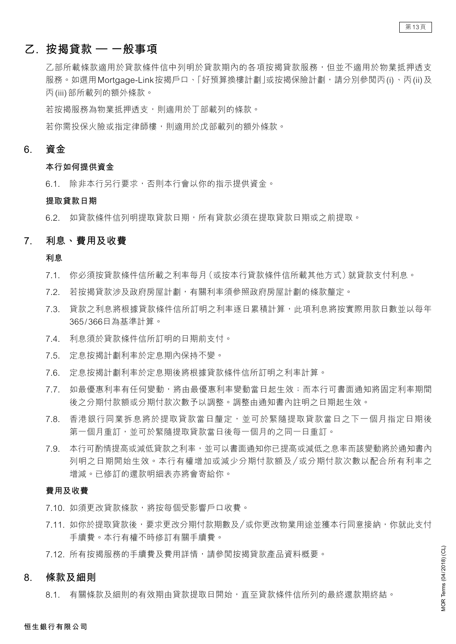# **乙. 按揭貸款 – 一般事項**

乙部所載條款適用於貸款使用於資款期內的各項按揭貸款服務,但並不適用於物業抵押透支 服務。如選用Mortgage-Link按揭戶口、「好預算換樓計劃」或按揭保險計劃,請分別參閲丙(i)、丙(ii)及 丙(iii)部所載列的額外條款。

若按揭服務為物業抵押透支,則適用於丁部載列的條款。

 若你需投保火險或指定律師樓,則適用於戊部載列的額外條款。

# **6. 資金**

#### **本行如何提供資金**

6.1. 除非本行另行要求,否則本行會以你的指示提供資金。

#### **提取貸款日期**

6.2. 如貸款條件信列明提取貸款日期,所有貸款必須在提取貸款日期或之前提取。

#### **7. 利息、費用及收費**

**利息**

- 7.1. 你必須按貸款條件信所載之利率每月(或按本行貸款條件信所載其他方式)就貸款支付利息。
- 7.2. 若按揭貸款涉及政府房屋計劃,有關利率須參照政府房屋計劃的條款釐定。
- 7.3. 貸款之利息將根據貸款條件信所訂明之利率逐日累積計算,此項利息將按實際用款日數並以每年 365/366日為基準計算。
- 7.4. 利息須於貸款條件信所訂明的日期前支付。
- 7.5. 定息按揭計劃利率於定息期內保持不變。
- 7.6. 定息按揭計劃利率於定息期後將根據貸款條件信所訂明之利率計算。
- 7.7. 如最優惠利率有任何變動,將由最優惠利率變動當日起生效;而本行可書面通知將固定利率期間 後之分期付款額或分期付款次數予以調整。調整由通知書內註明之日期起生效。
- 7.8. 香港銀行同業拆息將於提取貸款當日釐定,並可於緊隨提取貸款當日之下一個月指定日期後 第一個月重訂,並可於緊隨提取貸款當日後每一個月的之同一日重訂。
- 7.9. 本行可酌情提高或減低貸款之利率,並可以書面通知你已提高或減低之息率而該變動將於通知書內 列明之日期開始生效。本行有權增加或減少分期付款額及 /或分期付款次數以配合所有利率之 增減。已修訂的還款明細表亦將會寄給你。

#### **費用及收費**

- 7.10. 如須更改貸款條款,將按每個受影響戶口收費。
- 7.11. 如你於提取貸款後,要求更改分期付款期數及/或你更改物業用途並獲本行同意接納,你就此支付 手續費。本行有權不時修訂有關手續費。
- 7.12. 所有按揭服務的手續費及費用詳情,請參閱按揭貸款產品資料概要。

#### **8. 條款及細則**

8.1. 有關條款及細則的有效期由貸款提取日開始,直至貸款條件信所列的最終還款期終結。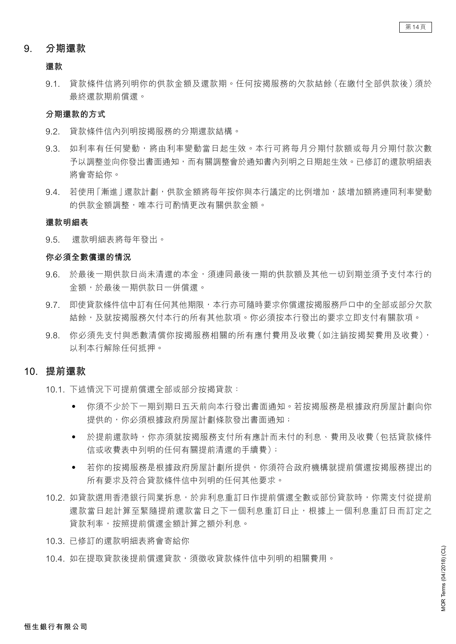### **9. 分期還款**

#### **還款**

9.1. 貸款條件信將列明你的供款金額及還款期。任何按揭服務的欠款結餘(在繳付全部供款後)須於 最終還款期前償還。

#### **分期還款的方式**

- 9.2. 貸款條件信內列明按揭服務的分期還款結構。
- 9.3. 如利率有任何變動,將由利率變動當日起生效。本行可將每月分期付款額或每月分期付款次數 予以調整並向你發出書面通知,而有關調整會於通知書內列明之日期起生效。已修訂的還款明細表 將會寄給你。
- 9.4. 若使用「漸進 | 還款計劃, 供款金額將每年按你與本行議定的比例增加, 該增加額將連同利率變動 的供款金額調整,唯本行可酌情更改有關供款金額。

#### **還款明細表**

 9.5. 還款明細表將每年發出。

#### **你必須全數償還的情況**

- 9.6. 於最後一期供款日尚未清還的本金,須連同最後一期的供款額及其他一切到期並須予支付本行的 金額,於最後一期供款日一併償還。
- 9.7. 即使貸款條件信中訂有任何其他期限,本行亦可隨時要求你償還按揭服務戶口中的全部或部分欠款 結餘,及就按揭服務欠付本行的所有其他款項。你必須按本行發出的要求立即支付有關款項。
- 9.8. 你必須先支付與悉數清償你按揭服務相關的所有應付費用及收費(如注銷按揭契費用及收費), 以利本行解除任何抵押。

#### **10. 提前還款**

- 10.1. 下述情況下可提前償還全部或部分按揭貸款:
	- · 你須不少於下一期到期日五天前向本行發出書面通知。若按揭服務是根據政府房屋計劃向你 提供的,你必須根據政府房屋計劃條款發出書面通知;
	- 於提前還款時,你亦須就按揭服務支付所有應計而未付的利息、費用及收費(包括貸款條件 信或收費表中列明的任何有關提前清還的手續費);
	- 若你的按揭服務是根據政府房屋計劃所提供,你須符合政府機構就提前償還按揭服務提出的 所有要求及符合貸款條件信中列明的任何其他要求。
- 10.2. 如貸款選用香港銀行同業拆息,於非利息重訂日作提前償還全數或部份貸款時,你需支付從提前 環款當日起計算至緊隨提前還款當日之下一個利息重訂日止,根據上一個利息重訂日而訂定之 貸款利率,按照提前償還金額計算之額外利息。
- 10.3. 已修訂的還款明細表將會寄給你
- 10.4. 如在提取貸款後提前償還貸款,須徵收貸款條件信中列明的相關費用。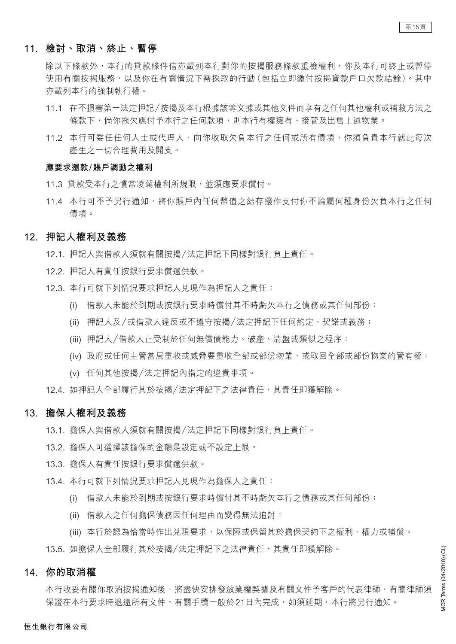### **11. 檢討、取消、終止、暫停**

除以下條款外,本行的貸款條件信亦載列本行對你的按揭服務條款重檢權利,你及本行可終止或暫停 使用有關按揭服務,以及你在有關情況下需採取的行動(包括立即繳付按揭貸款戶口欠款結餘)。其中 亦載列本行的強制執行權。

- 11.1 在不損害第一法定押記/按揭及本行根據該等文據或其他文件而享有之任何其他權利或補救方法之 條款下,倘你拖欠應付予本行之任何款項,則本行有權擁有、接管及出售上述物業。
- 11.2 本行可委任任何人士或代理人,向你收取欠負本行之任何或所有債項,你須負責本行就此每次 產生之一切合理費用及開支。

#### **應要求還款/賬戶調動之權利**

- 11.3 貸款受本行之慣常凌駕權利所規限,並須應要求償付。
- 11.4 本行可不予另行通知,將你賬戶內任何幣值之結存撥作支付你不論屬何種身份欠負本行之任何 債項。

#### **12. 押記人權利及義務**

- 12.1. 押記人與借款人須就有關按揭/法定押記下同樣對銀行負上責任。
- 12.2. 押記人有責任按銀行要求償還供款。
- 12.3. 本行可就下列情況要求押記人兌現作為押記人之責任:
	- (i) 借款人未能於到期或按銀行要求時償付其不時虧欠本行之債務或其任何部份;
	- (ii) 押記人及/或借款人違反或不遵守按揭/法定押記下任何約定、契諾或義務;
	- (iii) 押記人/借款人正受制於任何無償債能力、破產、清盤或類似之程序;
	- (iv) 政府或任何主管當局重收或威脅要重收全部或部份物業,或取回全部或部份物業的管有權;
	- (v) 任何其他按揭/法定押記內指定的違責事項。
- 12.4. 如押記人全部履行其於按揭/法定押記下之法律責任,其責任即獲解除。

#### **13. 擔保人權利及義務**

- 13.1. 擔保人與借款人須就有關按揭/法定押記下同樣對銀行負上責任。
- 13.2. 擔保人可選擇該擔保的金額是設定或不設定上限。
- 13.3. 擔保人有責任按銀行要求償還供款。
- 13.4. 本行可就下列情況要求押記人兑現作為擔保人之責任:
	- (i) 借款人未能於到期或按銀行要求時償付其不時虧欠本行之債務或其任何部份;
	- (ii) 借款人之任何擔保債務因任何理由而變得無法追討;
	- (iii) 本行於認為恰當時作出兑現要求,以保障或保留其於擔保契約下之權利、權力或補償。

13.5. 如擔保人全部履行其於按揭/法定押記下之法律責任,其責任即獲解除。

#### **14. 你的取消權**

本行收妥有關你取消按揭通知後,將盡快安排發放業權契據及有關文件予客戶的代表律師,有關律師須 保證在本行要求時退還所有文件。有關手續一般於21日內完成,如須延期,本行將另行通知。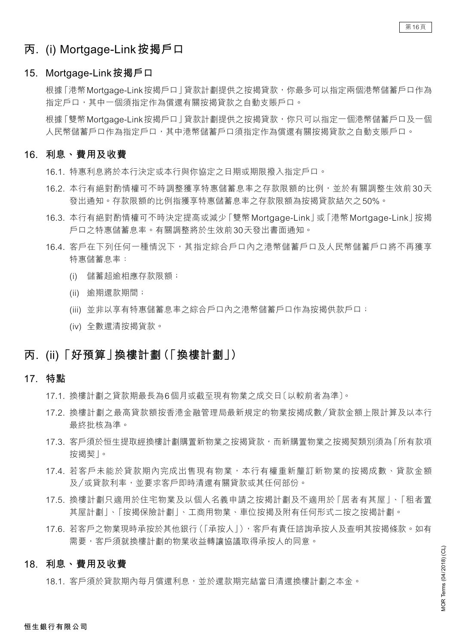# **丙. (i) Mortgage-Link按揭戶口**

#### **15. Mortgage-Link按揭戶口**

根據「港幣Mortgage-Link按揭戶口」貸款計劃提供之按揭貸款,你最多可以指定兩個港幣儲蓄戶口作為 指定戶口,其中一個須指定作為償還有關按揭貸款之自動支賬戶口。

根據「雙幣Mortgage-Link按揭戶口」貸款計劃提供之按揭貸款,你只可以指定一個港幣儲蓄戶口及一個 人民幣儲蓄戶口作為指定戶口,其中港幣儲蓄戶口須指定作為償還有關按揭貸款之自動支賬戶口。

#### **16. 利息、費用及收費**

- 16.1. 特惠利息將於本行決定或本行與你協定之日期或期限撥入指定戶口。
- 16.2. 本行有絕對酌情權可不時調整獲享特惠儲蓄息率之存款限額的比例,並於有關調整生效前30天 發出通知。存款限額的比例指獲享特惠儲蓄息率之存款限額為按揭貸款結欠之50%。
- 16.3. 本行有絕對酌情權可不時決定提高或減少「雙幣Mortgage-Link」或「港幣Mortgage-Link」按揭 戶口之特惠儲蓄息率。有關調整將於生效前30天發出書面通知。
- 16.4. 客戶在下列任何一種情況下,其指定綜合戶口內之港幣儲蓄戶口及人民幣儲蓄戶口將不再獲享 特惠儲蓄息率:
	- (i) 儲蓄超逾相應存款限額;
	- (ii) 逾期還款期間;
	- (iii) 並非以享有特惠儲蓄息率之綜合戶口內之港幣儲蓄戶口作為按揭供款戶口;
	- (iv) 全數還清按揭貨款。

# **丙. (ii)「好預算」換樓計劃(「換樓計劃」)**

#### **17. 特點**

- 17.1. 換樓計劃之貸款期最長為6個月或截至現有物業之成交日〔以較前者為準〕。
- 17.2. 換樓計劃之最高貸款額按香港金融管理局最新規定的物業按揭成數/貸款金額上限計算及以本行 最終批核為準。
- 17.3. 客戶須於恒生提取經換樓計劃購置新物業之按揭貸款,而新購置物業之按揭契類別須為「所有款項 按揭契」。
- 17.4. 若客戶未能於貸款期內完成出售現有物業,本行有權重新釐訂新物業的按揭成數、貸款金額 及/或貸款利率,並要求客戶即時清還有關貸款或其任何部份。
- 17.5. 換樓計劃只適用於住宅物業及以個人名義申請之按揭計劃及不適用於「居者有其屋」、「租者置 其屋計劃」、「按揭保險計劃」、工商用物業、車位按揭及附有任何形式二按之按揭計劃。
- 17.6. 若客戶之物業現時承按於其他銀行(「承按人」),客戶有責任諮詢承按人及查明其按揭條款。如有 需要,客戶須就換樓計劃的物業收益轉讓協議取得承按人的同意。

#### **18. 利息、費用及收費**

18.1. 客戶須於貸款期內每月償還利息,並於還款期完結當日清還換樓計劃之本金。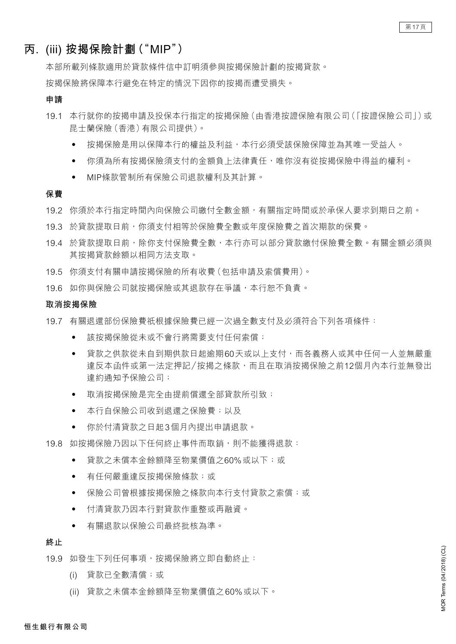# **丙. (iii) 按揭保險計劃("MIP")**

 本部所載列條款適用於貸款條件信中訂明須參與按揭保險計劃的按揭貸款。

 按揭保險將保障本行避免在特定的情況下因你的按揭而遭受損失。

#### **申請**

- 19.1 本行就你的按揭申請及投保本行指定的按揭保險(由香港按證保險有限公司)「按證保險公司」)或 昆士蘭保險(香港)有限公司提供)。
	- 按揭保險是用以保障本行的權益及利益,本行必須受該保險保障並為其唯一受益人。
	- 你須為所有按揭保險須支付的金額負上法律責任,唯你沒有從按揭保險中得益的權利。
	- • MIP條款管制所有保險公司退款權利及其計算。

#### **保費**

- 19.2 你須於本行指定時間內向保險公司繳付全數金額,有關指定時間或於承保人要求到期日之前。
- 19.3 於貸款提取日前,你須支付相等於保險費全數或年度保險費之首次期款的保費。
- 19.4 於貸款提取日前,除你支付保險費全數,本行亦可以部分貸款繳付保險費全數。有關金額必須與 其按揭貸款餘額以相同方法支取。
- 19.5 你須支付有關申請按揭保險的所有收費(包括申請及索償費用)。
- 19.6 如你與保險公司就按揭保險或其退款存在爭議,本行恕不負責。

#### **取消按揭保險**

- 19.7 有關退還部份保險費祇根據保險費已經一次過全數支付及必須符合下列各項條件:
	- 該按揭保險從未或不會行將需要支付仟何索償;
	- 貸款之供款從未自到期供款日起逾期60天或以上支付,而各義務人或其中任何一人並無嚴重 違反本函件或第一法定押記/按揭之條款,而且在取消按揭保險之前12個月內本行並無發出 違約通知予保險公司;
	- 取消按揭保險是完全由提前償還全部貸款所引致;
	- 本行自保險公司收到退還之保險費;以及
	- • 你於付清貸款之日起3個月內提出申請退款。
- 19.8 如按揭保險乃因以下仟何終止事件而取銷,則不能獲得退款:
	- • 貸款之未償本金餘額降至物業價值之60%或以下;或
	- 有任何嚴重違反按揭保險條款;或
	- 保險公司曾根據按揭保險之條款向本行支付貸款之索償;或
	- 付清貸款乃因本行對貸款作重整或再融資。
	- • 有關退款以保險公司最終批核為準。

#### **終止**

- 19.9 如發生下列任何事項,按揭保險將立即自動終止:
	- (i) 貸款已全數清償;或
	- (ii) 貸款之未償本金餘額降至物業價值之60%或以下。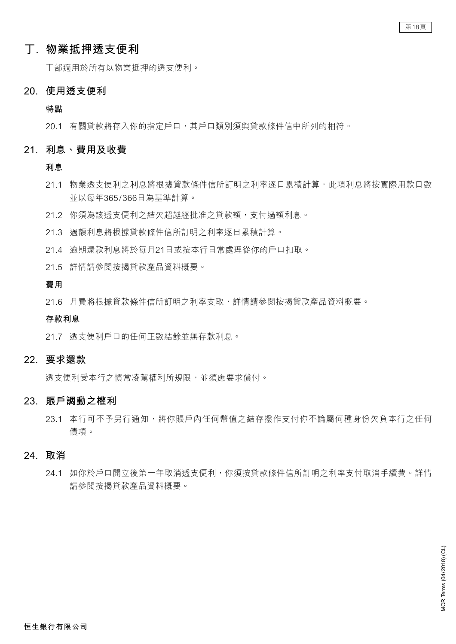# **丁. 物業抵押透支便利**

 丁部適用於所有以物業抵押的透支便利。

#### **20. 使用透支便利**

**特點**

 20.1 有關貸款將存入你的指定戶口,其戶口類別須與貸款條件信中所列的相符。

#### **21. 利息、費用及收費**

**利息**

- 21.1 物業透支便利之利息將根據貸款條件信所訂明之利率逐日累積計算,此項利息將按實際用款日數 並以每年365/366日為基準計算。
- 21.2 你須為該透支便利之結欠超越經批准之貸款額,支付過額利息。
- 21.3 過額利息將根據貸款條件信所訂明之利率逐日累積計算。
- 21.4 逾期還款利息將於每月21日或按本行日常處理從你的戶口扣取。
- 21.5 詳情請參閱按揭貸款產品資料概要。

#### **費用**

 21.6 月費將根據貸款條件信所訂明之利率支取,詳情請參閱按揭貸款產品資料概要。

#### **存款利息**

 21.7 透支便利戶口的任何正數結餘並無存款利息。

# **22. 要求還款**

 透支便利受本行之慣常凌駕權利所規限,並須應要求償付。

### **23. 賬戶調動之權利**

23.1 本行可不予另行通知,將你賬戶內任何幣值之結存撥作支付你不論屬何種身份欠負本行之任何 債項。

### **24. 取消**

24.1 如你於戶口開立後第一年取消透支便利,你須按貸款條件信所訂明之利率支付取消手續費。詳情 請參閱按揭貸款產品資料概要。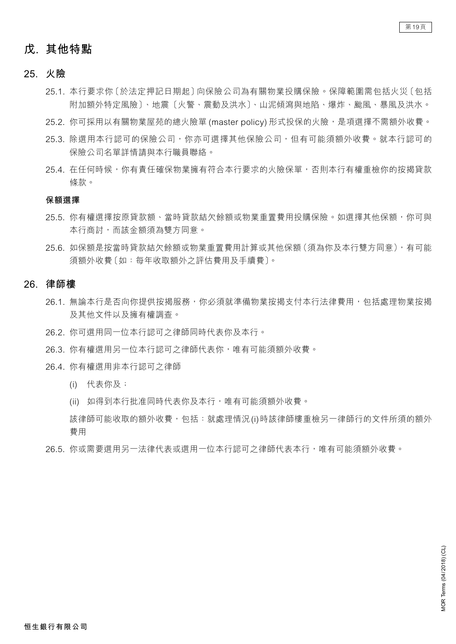# **戊. 其他特點**

#### **25. 火險**

- 25.1. 本行要求你〔於法定押記日期起〕向保險公司為有關物業投購保險。保障範圍需包括火災〔包括 附加額外特定風險〕、地震〔火警、震動及洪水〕、山泥傾瀉與地陷、爆炸、颱風、暴風及洪水。
- 25.2. 你可採用以有關物業屋苑的總火險單 (master policy) 形式投保的火險,是項選擇不需額外收費。
- 25.3. 除選用本行認可的保險公司,你亦可選擇其他保險公司,但有可能須額外收費。就本行認可的 保險公司名單詳情請與本行職員聯絡。
- 25.4. 在任何時候,你有責任確保物業擁有符合本行要求的火險保單,不則本行有權重檢你的按揭貸款 條款。

#### **保額選擇**

- 25.5. 你有權選擇按原貸款額、當時貸款結欠餘額或物業重置費用投購保險。如選擇其他保額,你可與 本行商討,而該金額須為雙方同意。
- 25.6. 如保額是按當時貸款結欠餘額或物業重置費用計算或其他保額(須為你及本行雙方同意),有可能 須額外收費〔如:每年收取額外之評估費用及手續費〕。

#### **26. 律師樓**

- 26.1. 無論本行是否向你提供按揭服務,你必須就準備物業按揭支付本行法律費用,包括處理物業按揭 及其他文件以及擁有權調查。
- 26.2. 你可選用同一位本行認可之律師同時代表你及本行。
- 26.3. 你有權選用另一位本行認可之律師代表你,唯有可能須額外收費。
- 26.4. 你有權選用非本行認可之律師
	- (i) 代表你及;
	- (ii) 如得到本行批准同時代表你及本行,唯有可能須額外收費。

該律師可能收取的額外收費,包括: 就處理情況(i)時該律師樓重檢另一律師行的文件所須的額外 費用

 26.5. 你或需要選用另一法律代表或選用一位本行認可之律師代表本行,唯有可能須額外收費。